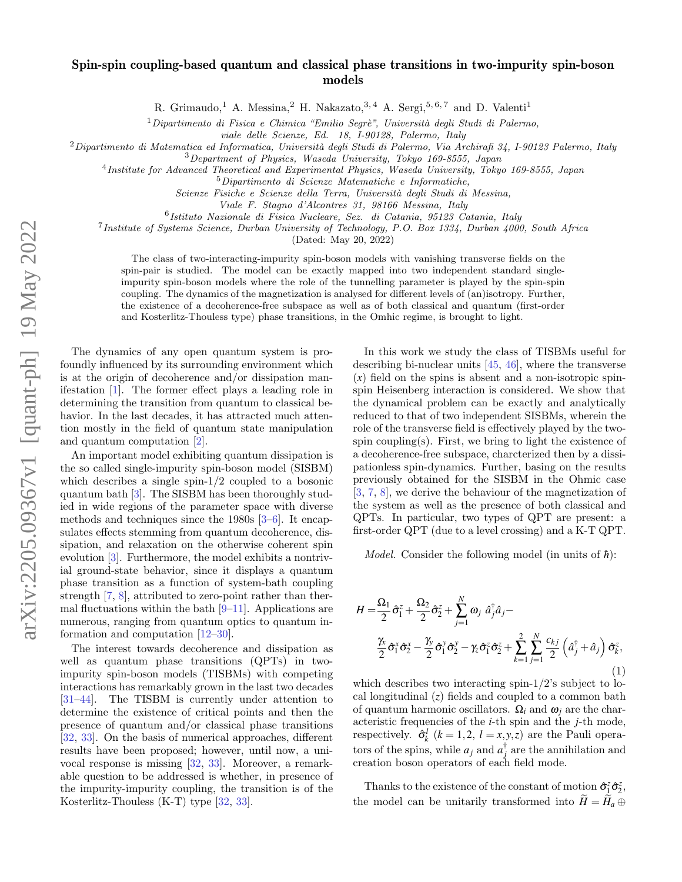## Spin-spin coupling-based quantum and classical phase transitions in two-impurity spin-boson models

R. Grimaudo,<sup>1</sup> A. Messina,<sup>2</sup> H. Nakazato,<sup>3, 4</sup> A. Sergi,<sup>5, 6, 7</sup> and D. Valenti<sup>1</sup>

 $1$ Dipartimento di Fisica e Chimica "Emilio Segrè", Università degli Studi di Palermo,

viale delle Scienze, Ed. 18, I-90128, Palermo, Italy

 $2$ Dipartimento di Matematica ed Informatica, Università degli Studi di Palermo, Via Archirafi 34, I-90123 Palermo, Italy

<sup>3</sup>Department of Physics, Waseda University, Tokyo 169-8555, Japan

4 Institute for Advanced Theoretical and Experimental Physics, Waseda University, Tokyo 169-8555, Japan

<sup>5</sup>Dipartimento di Scienze Matematiche e Informatiche,

Scienze Fisiche e Scienze della Terra, Università degli Studi di Messina,

Viale F. Stagno d'Alcontres 31, 98166 Messina, Italy

6 Istituto Nazionale di Fisica Nucleare, Sez. di Catania, 95123 Catania, Italy

7 Institute of Systems Science, Durban University of Technology, P.O. Box 1334, Durban 4000, South Africa

(Dated: May 20, 2022)

The class of two-interacting-impurity spin-boson models with vanishing transverse fields on the spin-pair is studied. The model can be exactly mapped into two independent standard singleimpurity spin-boson models where the role of the tunnelling parameter is played by the spin-spin coupling. The dynamics of the magnetization is analysed for different levels of (an)isotropy. Further, the existence of a decoherence-free subspace as well as of both classical and quantum (first-order and Kosterlitz-Thouless type) phase transitions, in the Omhic regime, is brought to light.

The dynamics of any open quantum system is profoundly influenced by its surrounding environment which is at the origin of decoherence and/or dissipation manifestation [\[1\]](#page-4-0). The former effect plays a leading role in determining the transition from quantum to classical behavior. In the last decades, it has attracted much attention mostly in the field of quantum state manipulation and quantum computation [\[2\]](#page-4-1).

An important model exhibiting quantum dissipation is the so called single-impurity spin-boson model (SISBM) which describes a single spin-1/2 coupled to a bosonic quantum bath [\[3\]](#page-4-2). The SISBM has been thoroughly studied in wide regions of the parameter space with diverse methods and techniques since the 1980s [\[3–](#page-4-2)[6\]](#page-4-3). It encapsulates effects stemming from quantum decoherence, dissipation, and relaxation on the otherwise coherent spin evolution [\[3\]](#page-4-2). Furthermore, the model exhibits a nontrivial ground-state behavior, since it displays a quantum phase transition as a function of system-bath coupling strength [\[7,](#page-4-4) [8\]](#page-4-5), attributed to zero-point rather than thermal fluctuations within the bath  $[9-11]$  $[9-11]$ . Applications are numerous, ranging from quantum optics to quantum information and computation [\[12–](#page-4-8)[30\]](#page-4-9).

The interest towards decoherence and dissipation as well as quantum phase transitions (QPTs) in twoimpurity spin-boson models (TISBMs) with competing interactions has remarkably grown in the last two decades [\[31–](#page-4-10)[44\]](#page-5-0). The TISBM is currently under attention to determine the existence of critical points and then the presence of quantum and/or classical phase transitions [\[32,](#page-4-11) [33\]](#page-4-12). On the basis of numerical approaches, different results have been proposed; however, until now, a univocal response is missing [\[32,](#page-4-11) [33\]](#page-4-12). Moreover, a remarkable question to be addressed is whether, in presence of the impurity-impurity coupling, the transition is of the Kosterlitz-Thouless (K-T) type [\[32,](#page-4-11) [33\]](#page-4-12).

In this work we study the class of TISBMs useful for describing bi-nuclear units [\[45,](#page-5-1) [46\]](#page-5-2), where the transverse  $(x)$  field on the spins is absent and a non-isotropic spinspin Heisenberg interaction is considered. We show that the dynamical problem can be exactly and analytically reduced to that of two independent SISBMs, wherein the role of the transverse field is effectively played by the twospin coupling(s). First, we bring to light the existence of a decoherence-free subspace, charcterized then by a dissipationless spin-dynamics. Further, basing on the results previously obtained for the SISBM in the Ohmic case [\[3,](#page-4-2) [7,](#page-4-4) [8\]](#page-4-5), we derive the behaviour of the magnetization of the system as well as the presence of both classical and QPTs. In particular, two types of QPT are present: a first-order QPT (due to a level crossing) and a K-T QPT.

*Model.* Consider the following model (in units of  $\hbar$ ):

$$
H = \frac{\Omega_1}{2} \hat{\sigma}_1^z + \frac{\Omega_2}{2} \hat{\sigma}_2^z + \sum_{j=1}^N \omega_j \hat{a}_j^{\dagger} \hat{a}_j -
$$
  

$$
\frac{\gamma_x}{2} \hat{\sigma}_1^x \hat{\sigma}_2^x - \frac{\gamma_y}{2} \hat{\sigma}_1^y \hat{\sigma}_2^y - \gamma_z \hat{\sigma}_1^z \hat{\sigma}_2^z + \sum_{k=1}^2 \sum_{j=1}^N \frac{c_{kj}}{2} \left( \hat{a}_j^{\dagger} + \hat{a}_j \right) \hat{\sigma}_k^z,
$$
  
(1)

which describes two interacting spin-1/2's subject to local longitudinal (*z*) fields and coupled to a common bath of quantum harmonic oscillators. Ω*<sup>i</sup>* and ω*<sup>j</sup>* are the characteristic frequencies of the *i*-th spin and the *j*-th mode, respectively.  $\hat{\sigma}_k^l$   $(k = 1, 2, l = x, y, z)$  are the Pauli operators of the spins, while  $a_j$  and  $a_j^{\dagger}$  are the annihilation and creation boson operators of each field mode.

Thanks to the existence of the constant of motion  $\hat{\sigma}_{1}^{z}\hat{\sigma}_{2}^{z}$ , the model can be unitarily transformed into  $H = H_a \oplus$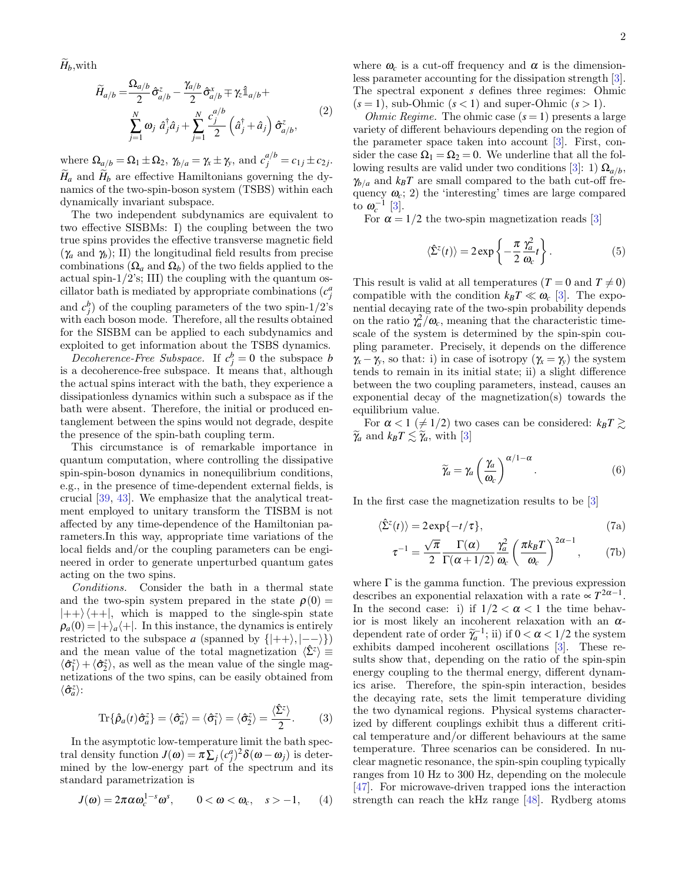$\widetilde{H}_b$ , with

$$
\widetilde{H}_{a/b} = \frac{\Omega_{a/b}}{2} \hat{\sigma}_{a/b}^{z} - \frac{\gamma_{a/b}}{2} \hat{\sigma}_{a/b}^{x} \mp \gamma_{z} \hat{\mathbb{1}}_{a/b} +
$$
\n
$$
\sum_{j=1}^{N} \omega_{j} \hat{a}_{j}^{\dagger} \hat{a}_{j} + \sum_{j=1}^{N} \frac{c_{j}^{a/b}}{2} \left( \hat{a}_{j}^{\dagger} + \hat{a}_{j} \right) \hat{\sigma}_{a/b}^{z},
$$
\n(2)

where  $\Omega_{a/b} = \Omega_1 \pm \Omega_2$ ,  $\gamma_{b/a} = \gamma_x \pm \gamma_y$ , and  $c_j^{a/b} = c_{1j} \pm c_{2j}$ .  $H_a$  and  $H_b$  are effective Hamiltonians governing the dynamics of the two-spin-boson system (TSBS) within each dynamically invariant subspace.

The two independent subdynamics are equivalent to two effective SISBMs: I) the coupling between the two true spins provides the effective transverse magnetic field  $(\gamma_a \text{ and } \gamma_b)$ ; II) the longitudinal field results from precise combinations  $(\Omega_a \text{ and } \Omega_b)$  of the two fields applied to the actual spin- $1/2$ 's; III) the coupling with the quantum oscillator bath is mediated by appropriate combinations  $(c_j^a)$ and  $c_j^b$  of the coupling parameters of the two spin-1/2's with each boson mode. Therefore, all the results obtained for the SISBM can be applied to each subdynamics and exploited to get information about the TSBS dynamics.

Decoherence-Free Subspace. If  $c_j^b = 0$  the subspace *b* is a decoherence-free subspace. It means that, although the actual spins interact with the bath, they experience a dissipationless dynamics within such a subspace as if the bath were absent. Therefore, the initial or produced entanglement between the spins would not degrade, despite the presence of the spin-bath coupling term.

This circumstance is of remarkable importance in quantum computation, where controlling the dissipative spin-spin-boson dynamics in nonequilibrium conditions, e.g., in the presence of time-dependent external fields, is crucial [\[39,](#page-5-3) [43\]](#page-5-4). We emphasize that the analytical treatment employed to unitary transform the TISBM is not affected by any time-dependence of the Hamiltonian parameters.In this way, appropriate time variations of the local fields and/or the coupling parameters can be engineered in order to generate unperturbed quantum gates acting on the two spins.

Conditions. Consider the bath in a thermal state and the two-spin system prepared in the state  $\rho(0)$  =  $|++\rangle\langle++|$ , which is mapped to the single-spin state  $\rho_a(0) = |+\rangle_a|+|$ . In this instance, the dynamics is entirely restricted to the subspace *a* (spanned by  $\{ |++\rangle, |--\rangle \}$ ) and the mean value of the total magnetization  $\langle \hat{\Sigma}^z \rangle \equiv$  $\langle \hat{\sigma}_1^z \rangle + \langle \hat{\sigma}_2^z \rangle$ , as well as the mean value of the single magnetizations of the two spins, can be easily obtained from  $\langle \hat{\sigma}^z_a \rangle$ :

$$
\operatorname{Tr}\{\hat{\rho}_a(t)\hat{\sigma}_a^z\} = \langle \hat{\sigma}_a^z \rangle = \langle \hat{\sigma}_1^z \rangle = \langle \hat{\sigma}_2^z \rangle = \frac{\langle \hat{\Sigma}^z \rangle}{2}.
$$
 (3)

In the asymptotic low-temperature limit the bath spectral density function  $J(\boldsymbol{\omega}) = \pi \sum_j (c_j^a)^2 \delta(\boldsymbol{\omega} - \boldsymbol{\omega}_j)$  is determined by the low-energy part of the spectrum and its standard parametrization is

$$
J(\omega) = 2\pi \alpha \omega_c^{1-s} \omega^s, \qquad 0 < \omega < \omega_c, \quad s > -1,\qquad (4)
$$

where  $\omega_c$  is a cut-off frequency and  $\alpha$  is the dimensionless parameter accounting for the dissipation strength [\[3\]](#page-4-2). The spectral exponent *s* defines three regimes: Ohmic  $(s = 1)$ , sub-Ohmic  $(s < 1)$  and super-Ohmic  $(s > 1)$ .

*Ohmic Regime.* The ohmic case  $(s = 1)$  presents a large variety of different behaviours depending on the region of the parameter space taken into account [\[3\]](#page-4-2). First, consider the case  $\Omega_1 = \Omega_2 = 0$ . We underline that all the fol-lowing results are valid under two conditions [\[3\]](#page-4-2): 1)  $\Omega_{a/b}$ ,  $\gamma_{b/a}$  and  $k_B T$  are small compared to the bath cut-off frequency  $\omega_c$ ; 2) the 'interesting' times are large compared to  $\omega_c^{-1}$  [\[3\]](#page-4-2).

For  $\alpha = 1/2$  the two-spin magnetization reads [\[3\]](#page-4-2)

<span id="page-1-1"></span>
$$
\langle \hat{\Sigma}^{z}(t) \rangle = 2 \exp \left\{-\frac{\pi}{2} \frac{\gamma_a^2}{\omega_c} t \right\}.
$$
 (5)

This result is valid at all temperatures  $(T = 0 \text{ and } T \neq 0)$ compatible with the condition  $k_B T \ll \omega_c$  [\[3\]](#page-4-2). The exponential decaying rate of the two-spin probability depends on the ratio  $\gamma_a^2/\omega_c$ , meaning that the characteristic timescale of the system is determined by the spin-spin coupling parameter. Precisely, it depends on the difference  $\gamma_x - \gamma_y$ , so that: i) in case of isotropy ( $\gamma_x = \gamma_y$ ) the system tends to remain in its initial state; ii) a slight difference between the two coupling parameters, instead, causes an exponential decay of the magnetization(s) towards the equilibrium value.

For  $\alpha < 1 \ (\neq 1/2)$  two cases can be considered:  $k_B T \gtrsim$  $\widetilde{\gamma}_a$  and  $k_B T \leq \widetilde{\gamma}_a$ , with [\[3\]](#page-4-2)

<span id="page-1-0"></span>
$$
\widetilde{\gamma}_a = \gamma_a \left(\frac{\gamma_a}{\omega_c}\right)^{\alpha/1-\alpha}.\tag{6}
$$

In the first case the magnetization results to be [\[3\]](#page-4-2)

$$
\langle \hat{\Sigma}^z(t) \rangle = 2 \exp\{-t/\tau\},\tag{7a}
$$

$$
\tau^{-1} = \frac{\sqrt{\pi}}{2} \frac{\Gamma(\alpha)}{\Gamma(\alpha + 1/2)} \frac{\gamma_a^2}{\omega_c} \left(\frac{\pi k_B T}{\omega_c}\right)^{2\alpha - 1}, \qquad (7b)
$$

where  $\Gamma$  is the gamma function. The previous expression describes an exponential relaxation with a rate  $\propto T^{2\alpha-1}$ . In the second case: i) if  $1/2 < \alpha < 1$  the time behavior is most likely an incoherent relaxation with an  $\alpha$ dependent rate of order  $\widetilde{\gamma}_a^{-1}$ ; ii) if  $0 < \alpha < 1/2$  the system exhibits demand incoherent evaluations [2]. These reexhibits damped incoherent oscillations [\[3\]](#page-4-2). These results show that, depending on the ratio of the spin-spin energy coupling to the thermal energy, different dynamics arise. Therefore, the spin-spin interaction, besides the decaying rate, sets the limit temperature dividing the two dynamical regions. Physical systems characterized by different couplings exhibit thus a different critical temperature and/or different behaviours at the same temperature. Three scenarios can be considered. In nuclear magnetic resonance, the spin-spin coupling typically ranges from 10 Hz to 300 Hz, depending on the molecule [\[47\]](#page-5-5). For microwave-driven trapped ions the interaction strength can reach the kHz range [\[48\]](#page-5-6). Rydberg atoms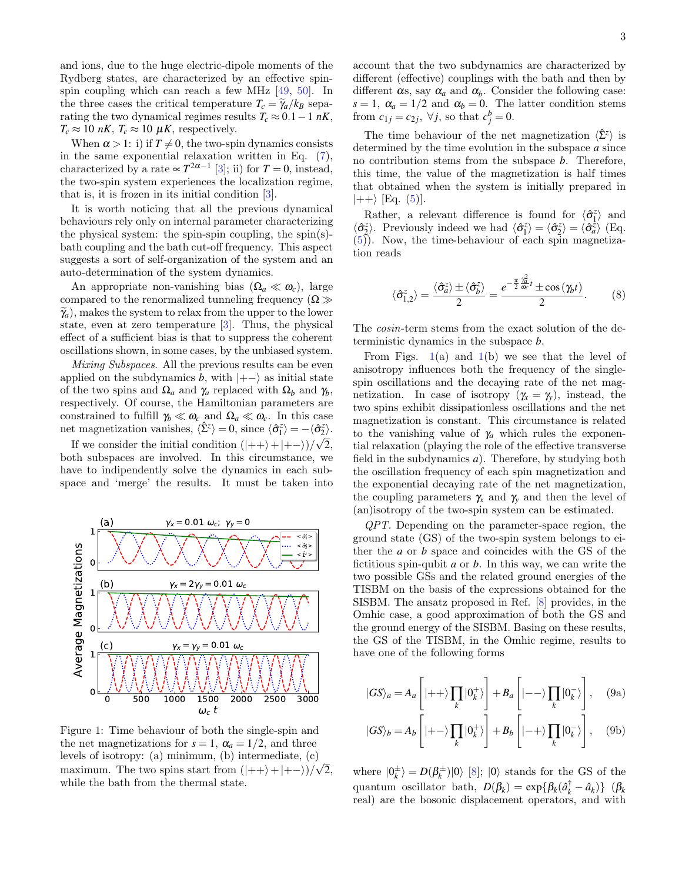and ions, due to the huge electric-dipole moments of the Rydberg states, are characterized by an effective spinspin coupling which can reach a few MHz [\[49,](#page-5-7) [50\]](#page-5-8). In the three cases the critical temperature  $T_c = \tilde{\gamma}_a / k_B$  separating the two dynamical regimes results  $T_c \approx 0.1-1 \; nK$ ,  $T_c \approx 10 \text{ nK}$ ,  $T_c \approx 10 \text{ \mu K}$ , respectively.

When  $\alpha > 1$ : i) if  $T \neq 0$ , the two-spin dynamics consists in the same exponential relaxation written in Eq. [\(7\)](#page-1-0), characterized by a rate  $\propto T^{2\alpha-1}$  [\[3\]](#page-4-2); ii) for  $T=0$ , instead, the two-spin system experiences the localization regime, that is, it is frozen in its initial condition [\[3\]](#page-4-2).

It is worth noticing that all the previous dynamical behaviours rely only on internal parameter characterizing the physical system: the spin-spin coupling, the spin(s)bath coupling and the bath cut-off frequency. This aspect suggests a sort of self-organization of the system and an auto-determination of the system dynamics.

An appropriate non-vanishing bias  $(\Omega_a \ll \omega_c)$ , large compared to the renormalized tunneling frequency  $(\Omega \gg$  $\widetilde{\gamma}_a$ , makes the system to relax from the upper to the lower state, even at zero temperature [\[3\]](#page-4-2). Thus, the physical effect of a sufficient bias is that to suppress the coherent oscillations shown, in some cases, by the unbiased system.

Mixing Subspaces. All the previous results can be even applied on the subdynamics *b*, with  $|+-\rangle$  as initial state of the two spins and  $\Omega_a$  and  $\gamma_a$  replaced with  $\Omega_b$  and  $\gamma_b$ , respectively. Of course, the Hamiltonian parameters are constrained to fulfill  $\gamma_b \ll \omega_c$  and  $\Omega_a \ll \omega_c$ . In this case net magnetization vanishes,  $\langle \hat{\Sigma}^z \rangle = 0$ , since  $\langle \hat{\sigma}_1^z \rangle = -\langle \hat{\sigma}_2^z \rangle$ .

If we consider the initial condition  $(|++\rangle + |+-\rangle)/\sqrt{2}$ , both subspaces are involved. In this circumstance, we have to indipendently solve the dynamics in each subspace and 'merge' the results. It must be taken into

<span id="page-2-0"></span>

Figure 1: Time behaviour of both the single-spin and the net magnetizations for  $s = 1$ ,  $\alpha_a = 1/2$ , and three levels of isotropy: (a) minimum, (b) intermediate, (c) √ maximum. The two spins start from  $(|++\rangle + |+-\rangle)/\sqrt{2}$ , while the bath from the thermal state.

The time behaviour of the net magnetization  $\langle \hat{\Sigma}^z \rangle$  is determined by the time evolution in the subspace *a* since no contribution stems from the subspace *b*. Therefore, this time, the value of the magnetization is half times that obtained when the system is initially prepared in  $|++\rangle$  [Eq. [\(5\)](#page-1-1)].

Rather, a relevant difference is found for  $\langle \hat{\sigma}_1^z \rangle$  and  $\langle \hat{\sigma}_2^z \rangle$ . Previously indeed we had  $\langle \hat{\sigma}_1^z \rangle = \langle \hat{\sigma}_2^z \rangle = \langle \hat{\sigma}_a^z \rangle$  (Eq. [\(5\)](#page-1-1)). Now, the time-behaviour of each spin magnetization reads

$$
\langle \hat{\sigma}_{1,2}^z \rangle = \frac{\langle \hat{\sigma}_a^z \rangle \pm \langle \hat{\sigma}_b^z \rangle}{2} = \frac{e^{-\frac{\pi}{2} \frac{\gamma_a^2}{\omega_c} t} \pm \cos(\gamma_b t)}{2}.
$$
 (8)

The cosin-term stems from the exact solution of the deterministic dynamics in the subspace *b*.

From Figs.  $1(a)$  $1(a)$  and  $1(b)$  we see that the level of anisotropy influences both the frequency of the singlespin oscillations and the decaying rate of the net magnetization. In case of isotropy  $(\gamma_x = \gamma_y)$ , instead, the two spins exhibit dissipationless oscillations and the net magnetization is constant. This circumstance is related to the vanishing value of  $\gamma_a$  which rules the exponential relaxation (playing the role of the effective transverse field in the subdynamics *a*). Therefore, by studying both the oscillation frequency of each spin magnetization and the exponential decaying rate of the net magnetization, the coupling parameters  $\gamma_x$  and  $\gamma_y$  and then the level of (an)isotropy of the two-spin system can be estimated.

QPT. Depending on the parameter-space region, the ground state (GS) of the two-spin system belongs to either the *a* or *b* space and coincides with the GS of the fictitious spin-qubit *a* or *b*. In this way, we can write the two possible GSs and the related ground energies of the TISBM on the basis of the expressions obtained for the SISBM. The ansatz proposed in Ref. [\[8\]](#page-4-5) provides, in the Omhic case, a good approximation of both the GS and the ground energy of the SISBM. Basing on these results, the GS of the TISBM, in the Omhic regime, results to have one of the following forms

$$
|GS\rangle_a = A_a \left[ |++\rangle \prod_k |0_k^+\rangle \right] + B_a \left[ |--\rangle \prod_k |0_k^-\rangle \right], \quad (9a)
$$

$$
|GS\rangle_b = A_b \left[ |+-\rangle \prod_k |0_k^+\rangle \right] + B_b \left[ |-+\rangle \prod_k |0_k^-\rangle \right], \quad (9b)
$$

where  $|0_k^{\pm}\rangle = D(\beta_k^{\pm})|0\rangle$  [\[8\]](#page-4-5);  $|0\rangle$  stands for the GS of the  $\text{quantum} \ \ \text{oscillator} \ \ \text{bath}, \ \ D(\beta_k) = \exp\{\beta_k(\hat{a}_k^\dagger - \hat{a}_k)\} \ \ (\beta_k)$ real) are the bosonic displacement operators, and with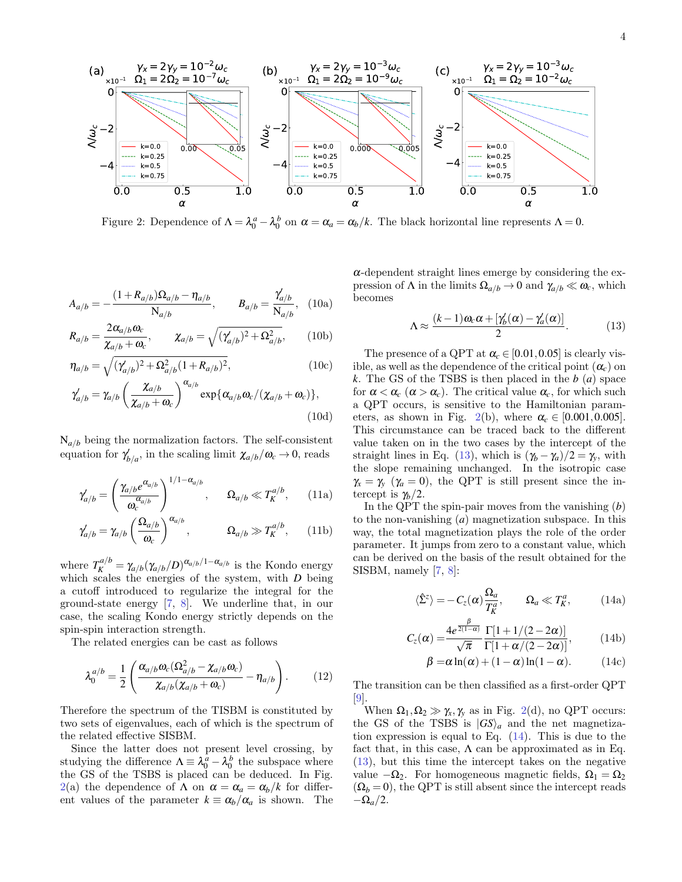<span id="page-3-0"></span>

Figure 2: Dependence of  $\Lambda = \lambda_0^a - \lambda_0^b$  on  $\alpha = \alpha_a = \alpha_b/k$ . The black horizontal line represents  $\Lambda = 0$ .

$$
A_{a/b} = -\frac{(1 + R_{a/b})\Omega_{a/b} - \eta_{a/b}}{\mathcal{N}_{a/b}}, \qquad B_{a/b} = \frac{\gamma'_{a/b}}{\mathcal{N}_{a/b}}, \quad (10a)
$$

$$
R_{a/b} = \frac{2\alpha_{a/b}\omega_c}{\chi_{a/b} + \omega_c}, \qquad \chi_{a/b} = \sqrt{(\gamma'_{a/b})^2 + \Omega_{a/b}^2}, \qquad (10b)
$$

$$
\eta_{a/b} = \sqrt{(\gamma'_{a/b})^2 + \Omega_{a/b}^2 (1 + R_{a/b})^2},
$$
\n(10c)

$$
\gamma'_{a/b} = \gamma_{a/b} \left( \frac{\chi_{a/b}}{\chi_{a/b} + \omega_c} \right)^{\alpha_{a/b}} \exp{\{\alpha_{a/b} \omega_c / (\chi_{a/b} + \omega_c)\}},
$$
\n(10d)

 $N_{a/b}$  being the normalization factors. The self-consistent equation for  $\gamma'_{b/a}$ , in the scaling limit  $\chi_{a/b}/\omega_c \to 0$ , reads

$$
\gamma'_{a/b} = \left(\frac{\gamma_{a/b}e^{\alpha_{a/b}}}{\omega_c^{\alpha_{a/b}}}\right)^{1/1-\alpha_{a/b}}, \qquad \Omega_{a/b} \ll T_K^{a/b}, \qquad (11a)
$$

$$
\gamma'_{a/b} = \gamma_{a/b} \left(\frac{\Omega_{a/b}}{\omega_c}\right)^{\alpha_{a/b}}, \qquad \Omega_{a/b} \gg T_K^{a/b}, \qquad (11b)
$$

where  $T_K^{a/b} = \gamma_{a/b} (\gamma_{a/b}/D)^{\alpha_{a/b}/1-\alpha_{a/b}}$  is the Kondo energy which scales the energies of the system, with *D* being a cutoff introduced to regularize the integral for the ground-state energy [\[7,](#page-4-4) [8\]](#page-4-5). We underline that, in our case, the scaling Kondo energy strictly depends on the spin-spin interaction strength.

The related energies can be cast as follows

$$
\lambda_0^{a/b} = \frac{1}{2} \left( \frac{\alpha_{a/b} \omega_c (\Omega_{a/b}^2 - \chi_{a/b} \omega_c)}{\chi_{a/b} (\chi_{a/b} + \omega_c)} - \eta_{a/b} \right). \tag{12}
$$

Therefore the spectrum of the TISBM is constituted by two sets of eigenvalues, each of which is the spectrum of the related effective SISBM.

Since the latter does not present level crossing, by studying the difference  $\Lambda \equiv \lambda_0^a - \lambda_0^b$  the subspace where the GS of the TSBS is placed can be deduced. In Fig. [2\(](#page-3-0)a) the dependence of  $\Lambda$  on  $\alpha = \alpha_a = \alpha_b/k$  for different values of the parameter  $k \equiv \alpha_b/\alpha_a$  is shown. The

 $\alpha$ -dependent straight lines emerge by considering the expression of  $\Lambda$  in the limits  $\Omega_{a/b} \to 0$  and  $\gamma_{a/b} \ll \omega_c$ , which becomes

<span id="page-3-1"></span>
$$
\Lambda \approx \frac{(k-1)\omega_c \alpha + [\gamma'_b(\alpha) - \gamma'_a(\alpha)]}{2}.
$$
 (13)

The presence of a QPT at  $\alpha_c \in [0.01, 0.05]$  is clearly visible, as well as the dependence of the critical point  $(\alpha_c)$  on *k*. The GS of the TSBS is then placed in the *b* (*a*) space for  $\alpha < \alpha_c$  ( $\alpha > \alpha_c$ ). The critical value  $\alpha_c$ , for which such a QPT occurs, is sensitive to the Hamiltonian param-eters, as shown in Fig. [2\(](#page-3-0)b), where  $\alpha_c \in [0.001, 0.005]$ . This circumstance can be traced back to the different value taken on in the two cases by the intercept of the straight lines in Eq. [\(13\)](#page-3-1), which is  $(\gamma_b - \gamma_a)/2 = \gamma_v$ , with the slope remaining unchanged. In the isotropic case  $\gamma_{\rm x} = \gamma_{\rm y}$  ( $\gamma_a = 0$ ), the QPT is still present since the intercept is  $\gamma_b/2$ .

In the QPT the spin-pair moves from the vanishing (*b*) to the non-vanishing (*a*) magnetization subspace. In this way, the total magnetization plays the role of the order parameter. It jumps from zero to a constant value, which can be derived on the basis of the result obtained for the SISBM, namely [\[7,](#page-4-4) [8\]](#page-4-5):

<span id="page-3-2"></span>
$$
\langle \hat{\Sigma}^z \rangle = -C_z(\alpha) \frac{\Omega_a}{T_K^a}, \qquad \Omega_a \ll T_K^a, \qquad (14a)
$$

$$
C_z(\alpha) = \frac{4e^{\frac{\beta}{2(1-\alpha)}}}{\sqrt{\pi}} \frac{\Gamma[1+1/(2-2\alpha)]}{\Gamma[1+\alpha/(2-2\alpha)]},
$$
 (14b)

$$
\beta = \alpha \ln(\alpha) + (1 - \alpha) \ln(1 - \alpha). \tag{14c}
$$

The transition can be then classified as a first-order QPT [\[9\]](#page-4-6).

When  $\Omega_1, \Omega_2 \gg \gamma_x, \gamma_y$  as in Fig. [2\(](#page-3-0)d), no QPT occurs: the GS of the TSBS is  $|GS\rangle_a$  and the net magnetization expression is equal to Eq. [\(14\)](#page-3-2). This is due to the fact that, in this case,  $\Lambda$  can be approximated as in Eq. [\(13\)](#page-3-1), but this time the intercept takes on the negative value  $-\Omega_2$ . For homogeneous magnetic fields,  $\Omega_1 = \Omega_2$  $(\Omega_b = 0)$ , the QPT is still absent since the intercept reads  $-\Omega_a/2$ .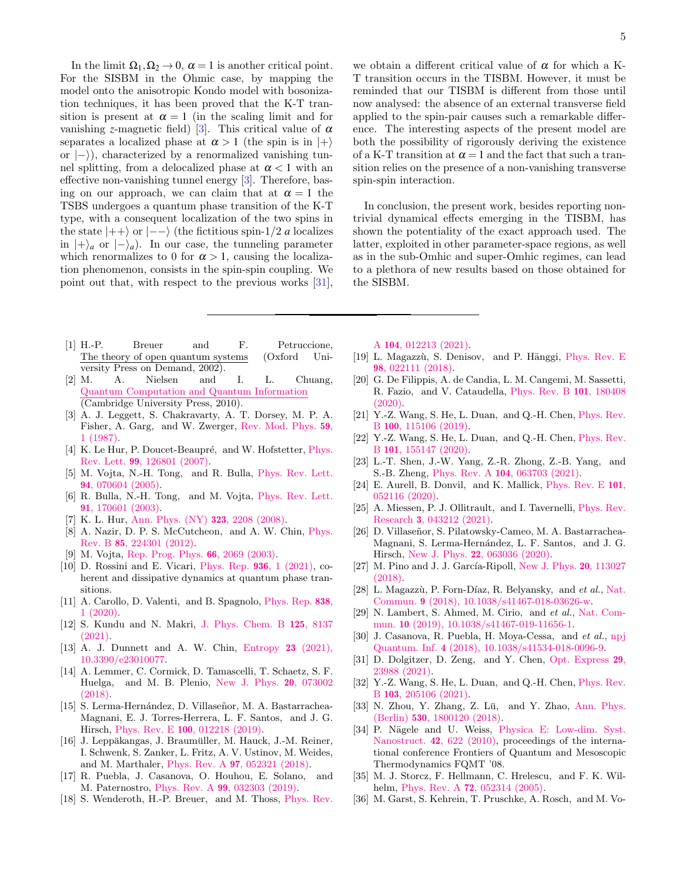In the limit  $\Omega_1, \Omega_2 \to 0$ ,  $\alpha = 1$  is another critical point. For the SISBM in the Ohmic case, by mapping the model onto the anisotropic Kondo model with bosonization techniques, it has been proved that the K-T transition is present at  $\alpha = 1$  (in the scaling limit and for vanishing *z*-magnetic field) [\[3\]](#page-4-2). This critical value of  $\alpha$ separates a localized phase at  $\alpha > 1$  (the spin is in  $|+\rangle$ ) or  $|-\rangle$ ), characterized by a renormalized vanishing tunnel splitting, from a delocalized phase at  $\alpha < 1$  with an effective non-vanishing tunnel energy [\[3\]](#page-4-2). Therefore, basing on our approach, we can claim that at  $\alpha = 1$  the TSBS undergoes a quantum phase transition of the K-T type, with a consequent localization of the two spins in the state  $|++\rangle$  or  $|--\rangle$  (the fictitious spin-1/2 *a* localizes in  $|+\rangle_a$  or  $|-\rangle_a$ ). In our case, the tunneling parameter which renormalizes to 0 for  $\alpha > 1$ , causing the localization phenomenon, consists in the spin-spin coupling. We point out that, with respect to the previous works [\[31\]](#page-4-10),

- <span id="page-4-0"></span>[1] H.-P. Breuer and F. Petruccione, The theory of open quantum systems (Oxford University Press on Demand, 2002).
- <span id="page-4-1"></span>[2] M. A. Nielsen and I. L. Chuang, [Quantum Computation and Quantum Information](http://dx.doi.org/10.1017/CBO9780511976667) (Cambridge University Press, 2010).
- <span id="page-4-2"></span>[3] A. J. Leggett, S. Chakravarty, A. T. Dorsey, M. P. A. Fisher, A. Garg, and W. Zwerger, [Rev. Mod. Phys.](http://dx.doi.org/10.1103/RevModPhys.59.1) 59, [1 \(1987\).](http://dx.doi.org/10.1103/RevModPhys.59.1)
- [4] K. Le Hur, P. Doucet-Beaupré, and W. Hofstetter, [Phys.](http://dx.doi.org/ 10.1103/PhysRevLett.99.126801) Rev. Lett. 99[, 126801 \(2007\).](http://dx.doi.org/ 10.1103/PhysRevLett.99.126801)
- [5] M. Vojta, N.-H. Tong, and R. Bulla, [Phys. Rev. Lett.](http://dx.doi.org/10.1103/PhysRevLett.94.070604) 94[, 070604 \(2005\).](http://dx.doi.org/10.1103/PhysRevLett.94.070604)
- <span id="page-4-3"></span>[6] R. Bulla, N.-H. Tong, and M. Vojta, [Phys. Rev. Lett.](http://dx.doi.org/10.1103/PhysRevLett.91.170601) 91[, 170601 \(2003\).](http://dx.doi.org/10.1103/PhysRevLett.91.170601)
- <span id="page-4-4"></span>[7] K. L. Hur, [Ann. Phys. \(NY\)](http://dx.doi.org/https://doi.org/10.1016/j.aop.2007.12.003) 323, 2208 (2008).
- <span id="page-4-5"></span>[8] A. Nazir, D. P. S. McCutcheon, and A. W. Chin, [Phys.](http://dx.doi.org/10.1103/PhysRevB.85.224301) Rev. B 85[, 224301 \(2012\).](http://dx.doi.org/10.1103/PhysRevB.85.224301)
- <span id="page-4-6"></span>[9] M. Vojta, [Rep. Prog. Phys.](http://dx.doi.org/10.1088/0034-4885/66/12/r01) 66, 2069 (2003).
- [10] D. Rossini and E. Vicari, [Phys. Rep.](http://dx.doi.org/https://doi.org/10.1016/j.physrep.2021.08.003) 936, 1 (2021), coherent and dissipative dynamics at quantum phase transitions.
- <span id="page-4-7"></span>[11] A. Carollo, D. Valenti, and B. Spagnolo, [Phys. Rep.](http://dx.doi.org/https://doi.org/10.1016/j.physrep.2019.11.002) 838, [1 \(2020\).](http://dx.doi.org/https://doi.org/10.1016/j.physrep.2019.11.002)
- <span id="page-4-8"></span>[12] S. Kundu and N. Makri, [J. Phys. Chem. B](http://dx.doi.org/10.1021/acs.jpcb.1c03861) 125, 8137 [\(2021\).](http://dx.doi.org/10.1021/acs.jpcb.1c03861)
- [13] A. J. Dunnett and A. W. Chin, [Entropy](http://dx.doi.org/10.3390/e23010077) 23 (2021), [10.3390/e23010077.](http://dx.doi.org/10.3390/e23010077)
- [14] A. Lemmer, C. Cormick, D. Tamascelli, T. Schaetz, S. F. Huelga, and M. B. Plenio, [New J. Phys.](http://dx.doi.org/ 10.1088/1367-2630/aac87d) 20, 073002 [\(2018\).](http://dx.doi.org/ 10.1088/1367-2630/aac87d)
- [15] S. Lerma-Hernández, D. Villaseñor, M. A. Bastarrachea-Magnani, E. J. Torres-Herrera, L. F. Santos, and J. G. Hirsch, Phys. Rev. E 100[, 012218 \(2019\).](http://dx.doi.org/10.1103/PhysRevE.100.012218)
- [16] J. Leppäkangas, J. Braumüller, M. Hauck, J.-M. Reiner, I. Schwenk, S. Zanker, L. Fritz, A. V. Ustinov, M. Weides, and M. Marthaler, Phys. Rev. A 97[, 052321 \(2018\).](http://dx.doi.org/10.1103/PhysRevA.97.052321)
- [17] R. Puebla, J. Casanova, O. Houhou, E. Solano, and M. Paternostro, Phys. Rev. A 99[, 032303 \(2019\).](http://dx.doi.org/ 10.1103/PhysRevA.99.032303)
- [18] S. Wenderoth, H.-P. Breuer, and M. Thoss, [Phys. Rev.](http://dx.doi.org/10.1103/PhysRevA.104.012213)

we obtain a different critical value of  $\alpha$  for which a K-T transition occurs in the TISBM. However, it must be reminded that our TISBM is different from those until now analysed: the absence of an external transverse field applied to the spin-pair causes such a remarkable difference. The interesting aspects of the present model are both the possibility of rigorously deriving the existence of a K-T transition at  $\alpha = 1$  and the fact that such a transition relies on the presence of a non-vanishing transverse spin-spin interaction.

In conclusion, the present work, besides reporting nontrivial dynamical effects emerging in the TISBM, has shown the potentiality of the exact approach used. The latter, exploited in other parameter-space regions, as well as in the sub-Omhic and super-Omhic regimes, can lead to a plethora of new results based on those obtained for the SISBM.

A 104[, 012213 \(2021\).](http://dx.doi.org/10.1103/PhysRevA.104.012213)

- [19] L. Magazzù, S. Denisov, and P. Hänggi, [Phys. Rev. E](http://dx.doi.org/10.1103/PhysRevE.98.022111) 98[, 022111 \(2018\).](http://dx.doi.org/10.1103/PhysRevE.98.022111)
- [20] G. De Filippis, A. de Candia, L. M. Cangemi, M. Sassetti, R. Fazio, and V. Cataudella, [Phys. Rev. B](http://dx.doi.org/ 10.1103/PhysRevB.101.180408) 101, 180408 [\(2020\).](http://dx.doi.org/ 10.1103/PhysRevB.101.180408)
- [21] Y.-Z. Wang, S. He, L. Duan, and Q.-H. Chen, [Phys. Rev.](http://dx.doi.org/ 10.1103/PhysRevB.100.115106) B 100[, 115106 \(2019\).](http://dx.doi.org/ 10.1103/PhysRevB.100.115106)
- [22] Y.-Z. Wang, S. He, L. Duan, and Q.-H. Chen, [Phys. Rev.](http://dx.doi.org/ 10.1103/PhysRevB.101.155147) B 101[, 155147 \(2020\).](http://dx.doi.org/ 10.1103/PhysRevB.101.155147)
- [23] L.-T. Shen, J.-W. Yang, Z.-R. Zhong, Z.-B. Yang, and S.-B. Zheng, Phys. Rev. A 104[, 063703 \(2021\).](http://dx.doi.org/ 10.1103/PhysRevA.104.063703)
- [24] E. Aurell, B. Donvil, and K. Mallick, [Phys. Rev. E](http://dx.doi.org/10.1103/PhysRevE.101.052116) 101, [052116 \(2020\).](http://dx.doi.org/10.1103/PhysRevE.101.052116)
- [25] A. Miessen, P. J. Ollitrault, and I. Tavernelli, [Phys. Rev.](http://dx.doi.org/10.1103/PhysRevResearch.3.043212) Research 3[, 043212 \(2021\).](http://dx.doi.org/10.1103/PhysRevResearch.3.043212)
- [26] D. Villaseñor, S. Pilatowsky-Cameo, M. A. Bastarrachea-Magnani, S. Lerma-Hernández, L. F. Santos, and J. G. Hirsch, New J. Phys. 22[, 063036 \(2020\).](http://dx.doi.org/10.1088/1367-2630/ab8ef8)
- [27] M. Pino and J. J. García-Ripoll, [New J. Phys.](http://dx.doi.org/10.1088/1367-2630/aaeeea)  $20$ , 113027 [\(2018\).](http://dx.doi.org/10.1088/1367-2630/aaeeea)
- [28] L. Magazzù, P. Forn-Díaz, R. Belyansky, and  $et$  al., [Nat.](http://dx.doi.org/10.1038/s41467-018-03626-w) Commun. 9 [\(2018\), 10.1038/s41467-018-03626-w.](http://dx.doi.org/10.1038/s41467-018-03626-w)
- [29] N. Lambert, S. Ahmed, M. Cirio, and et al., [Nat. Com](http://dx.doi.org/ 10.1038/s41467-019-11656-1)mun. 10 [\(2019\), 10.1038/s41467-019-11656-1.](http://dx.doi.org/ 10.1038/s41467-019-11656-1)
- <span id="page-4-9"></span>[30] J. Casanova, R. Puebla, H. Moya-Cessa, and et al., [npj](http://dx.doi.org/ 10.1038/s41534-018-0096-9) Quantum. Inf. 4 [\(2018\), 10.1038/s41534-018-0096-9.](http://dx.doi.org/ 10.1038/s41534-018-0096-9)
- <span id="page-4-10"></span>[31] D. Dolgitzer, D. Zeng, and Y. Chen, [Opt. Express](http://dx.doi.org/10.1364/OE.434183) 29, [23988 \(2021\).](http://dx.doi.org/10.1364/OE.434183)
- <span id="page-4-11"></span>[32] Y.-Z. Wang, S. He, L. Duan, and Q.-H. Chen, [Phys. Rev.](http://dx.doi.org/ 10.1103/PhysRevB.103.205106) B 103[, 205106 \(2021\).](http://dx.doi.org/ 10.1103/PhysRevB.103.205106)
- <span id="page-4-12"></span> $[33]$  N. Zhou, Y. Zhang, Z. Lü, and Y. Zhao, [Ann. Phys.](http://dx.doi.org/ https://doi.org/10.1002/andp.201800120) (Berlin) 530[, 1800120 \(2018\).](http://dx.doi.org/ https://doi.org/10.1002/andp.201800120)
- [34] P. Nägele and U. Weiss, [Physica E: Low-dim. Syst.](http://dx.doi.org/https://doi.org/10.1016/j.physe.2009.06.060) Nanostruct. 42[, 622 \(2010\),](http://dx.doi.org/https://doi.org/10.1016/j.physe.2009.06.060) proceedings of the international conference Frontiers of Quantum and Mesoscopic Thermodynamics FQMT '08.
- [35] M. J. Storcz, F. Hellmann, C. Hrelescu, and F. K. Wilhelm, Phys. Rev. A **72**[, 052314 \(2005\).](http://dx.doi.org/10.1103/PhysRevA.72.052314)
- [36] M. Garst, S. Kehrein, T. Pruschke, A. Rosch, and M. Vo-